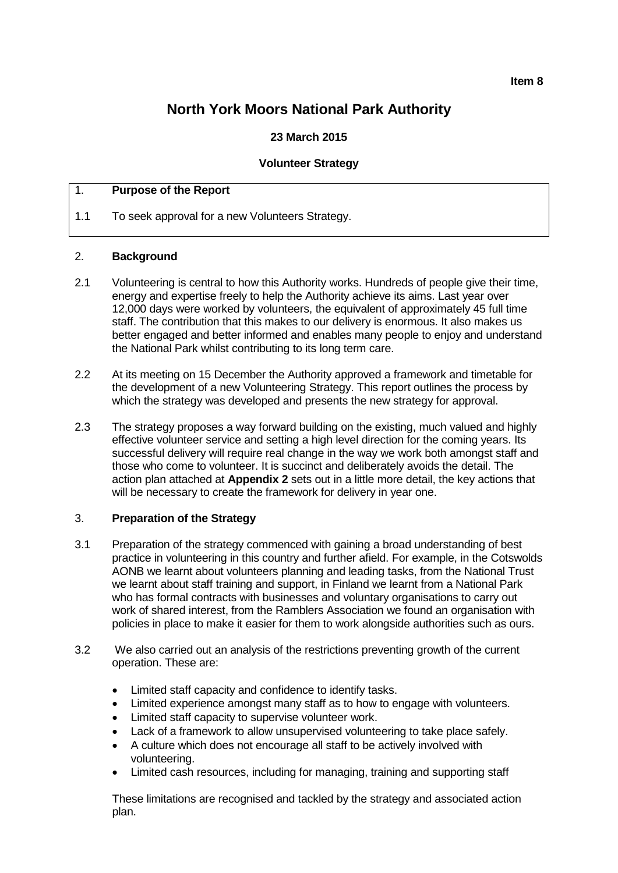#### **Item 8**

# **North York Moors National Park Authority**

# **23 March 2015**

#### **Volunteer Strategy**

## 1. **Purpose of the Report**

1.1 To seek approval for a new Volunteers Strategy.

#### 2. **Background**

- 2.1 Volunteering is central to how this Authority works. Hundreds of people give their time, energy and expertise freely to help the Authority achieve its aims. Last year over 12,000 days were worked by volunteers, the equivalent of approximately 45 full time staff. The contribution that this makes to our delivery is enormous. It also makes us better engaged and better informed and enables many people to enjoy and understand the National Park whilst contributing to its long term care.
- 2.2 At its meeting on 15 December the Authority approved a framework and timetable for the development of a new Volunteering Strategy. This report outlines the process by which the strategy was developed and presents the new strategy for approval.
- 2.3 The strategy proposes a way forward building on the existing, much valued and highly effective volunteer service and setting a high level direction for the coming years. Its successful delivery will require real change in the way we work both amongst staff and those who come to volunteer. It is succinct and deliberately avoids the detail. The action plan attached at **Appendix 2** sets out in a little more detail, the key actions that will be necessary to create the framework for delivery in year one.

## 3. **Preparation of the Strategy**

- 3.1 Preparation of the strategy commenced with gaining a broad understanding of best practice in volunteering in this country and further afield. For example, in the Cotswolds AONB we learnt about volunteers planning and leading tasks, from the National Trust we learnt about staff training and support, in Finland we learnt from a National Park who has formal contracts with businesses and voluntary organisations to carry out work of shared interest, from the Ramblers Association we found an organisation with policies in place to make it easier for them to work alongside authorities such as ours.
- 3.2 We also carried out an analysis of the restrictions preventing growth of the current operation. These are:
	- Limited staff capacity and confidence to identify tasks.
	- Limited experience amongst many staff as to how to engage with volunteers.
	- Limited staff capacity to supervise volunteer work.
	- Lack of a framework to allow unsupervised volunteering to take place safely.
	- A culture which does not encourage all staff to be actively involved with volunteering.
	- Limited cash resources, including for managing, training and supporting staff

These limitations are recognised and tackled by the strategy and associated action plan.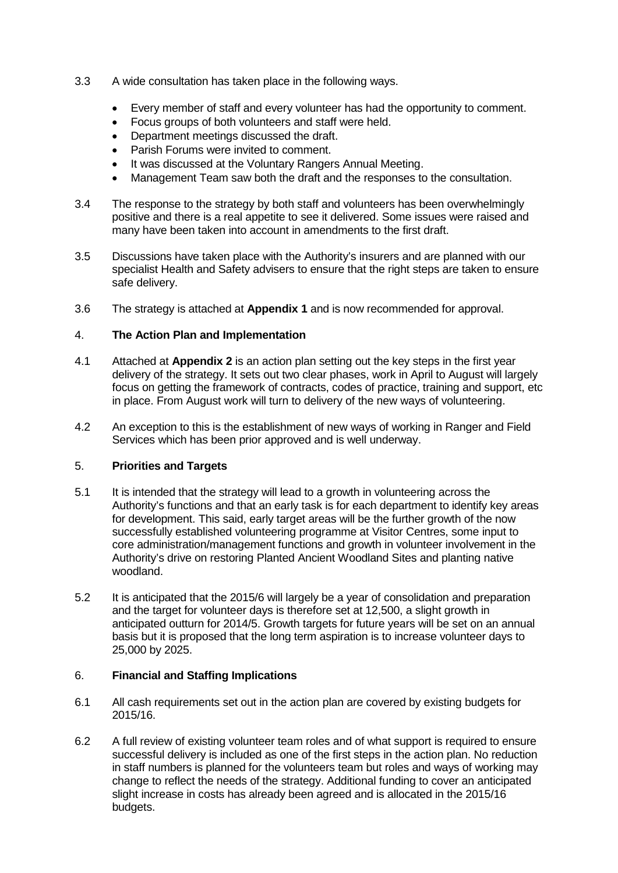- 3.3 A wide consultation has taken place in the following ways.
	- Every member of staff and every volunteer has had the opportunity to comment.
	- Focus groups of both volunteers and staff were held.
	- Department meetings discussed the draft.
	- Parish Forums were invited to comment.
	- It was discussed at the Voluntary Rangers Annual Meeting.
	- Management Team saw both the draft and the responses to the consultation.
- 3.4 The response to the strategy by both staff and volunteers has been overwhelmingly positive and there is a real appetite to see it delivered. Some issues were raised and many have been taken into account in amendments to the first draft.
- 3.5 Discussions have taken place with the Authority's insurers and are planned with our specialist Health and Safety advisers to ensure that the right steps are taken to ensure safe delivery.
- 3.6 The strategy is attached at **Appendix 1** and is now recommended for approval.

## 4. **The Action Plan and Implementation**

- 4.1 Attached at **Appendix 2** is an action plan setting out the key steps in the first year delivery of the strategy. It sets out two clear phases, work in April to August will largely focus on getting the framework of contracts, codes of practice, training and support, etc in place. From August work will turn to delivery of the new ways of volunteering.
- 4.2 An exception to this is the establishment of new ways of working in Ranger and Field Services which has been prior approved and is well underway.

## 5. **Priorities and Targets**

- 5.1 It is intended that the strategy will lead to a growth in volunteering across the Authority's functions and that an early task is for each department to identify key areas for development. This said, early target areas will be the further growth of the now successfully established volunteering programme at Visitor Centres, some input to core administration/management functions and growth in volunteer involvement in the Authority's drive on restoring Planted Ancient Woodland Sites and planting native woodland.
- 5.2 It is anticipated that the 2015/6 will largely be a year of consolidation and preparation and the target for volunteer days is therefore set at 12,500, a slight growth in anticipated outturn for 2014/5. Growth targets for future years will be set on an annual basis but it is proposed that the long term aspiration is to increase volunteer days to 25,000 by 2025.

## 6. **Financial and Staffing Implications**

- 6.1 All cash requirements set out in the action plan are covered by existing budgets for 2015/16.
- 6.2 A full review of existing volunteer team roles and of what support is required to ensure successful delivery is included as one of the first steps in the action plan. No reduction in staff numbers is planned for the volunteers team but roles and ways of working may change to reflect the needs of the strategy. Additional funding to cover an anticipated slight increase in costs has already been agreed and is allocated in the 2015/16 budgets.